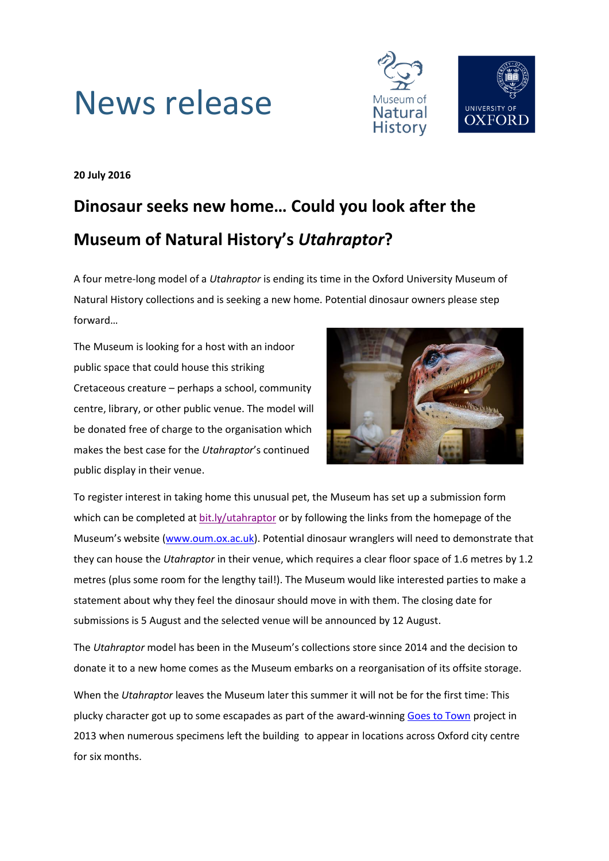



**20 July 2016**

# **Dinosaur seeks new home… Could you look after the Museum of Natural History's** *Utahraptor***?**

A four metre-long model of a *Utahraptor* is ending its time in the Oxford University Museum of Natural History collections and is seeking a new home. Potential dinosaur owners please step forward…

The Museum is looking for a host with an indoor public space that could house this striking Cretaceous creature – perhaps a school, community centre, library, or other public venue. The model will be donated free of charge to the organisation which makes the best case for the *Utahraptor*'s continued public display in their venue.



To register interest in taking home this unusual pet, the Museum has set up a submission form which can be completed at [bit.ly/utahraptor](http://www.bit.ly/utahraptor) or by following the links from the homepage of the Museum's website [\(www.oum.ox.ac.uk\)](http://www.oum.ox.ac.uk/). Potential dinosaur wranglers will need to demonstrate that they can house the *Utahraptor* in their venue, which requires a clear floor space of 1.6 metres by 1.2 metres (plus some room for the lengthy tail!). The Museum would like interested parties to make a statement about why they feel the dinosaur should move in with them. The closing date for submissions is 5 August and the selected venue will be announced by 12 August.

The *Utahraptor* model has been in the Museum's collections store since 2014 and the decision to donate it to a new home comes as the Museum embarks on a reorganisation of its offsite storage.

When the *Utahraptor* leaves the Museum later this summer it will not be for the first time: This plucky character got up to some escapades as part of the award-winning [Goes to Town](https://morethanadodo.com/2015/04/30/one-for-the-mantelpiece/) project in 2013 when numerous specimens left the building to appear in locations across Oxford city centre for six months.